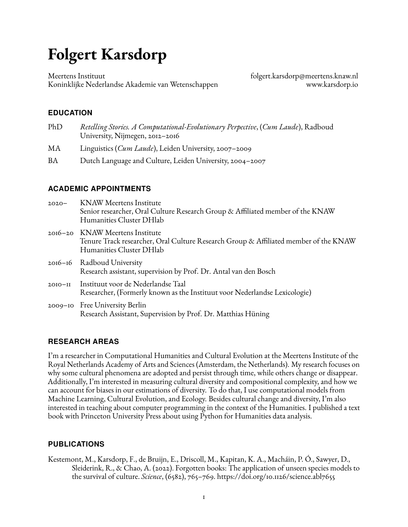# **Folgert Karsdorp**

Meertens Instituut Koninklijke Nederlandse Akademie van Wetenschappen [folgert.karsdorp@meertens.knaw.nl](mailto:folgert.karsdorp@meertens.knaw.nl) [www.karsdorp.io](https://www.karsdorp.io)

## **EDUCATION**

- PhD *Retelling Stories. A Computational-Evolutionary Perpective*, (*Cum Laude*), Radboud University, Nijmegen, 2012–2016
- MA Linguistics (*Cum Laude*), Leiden University, 2007–2009
- BA Dutch Language and Culture, Leiden University, 2004-2007

## **ACADEMIC APPOINTMENTS**

| $2020 -$  | <b>KNAW Meertens Institute</b><br>Senior researcher, Oral Culture Research Group & Affiliated member of the KNAW<br>Humanities Cluster DHlab        |
|-----------|-----------------------------------------------------------------------------------------------------------------------------------------------------|
|           | 2016–20 KNAW Meertens Institute<br>Tenure Track researcher, Oral Culture Research Group & Affiliated member of the KNAW<br>Humanities Cluster DHlab |
|           | 2016-16 Radboud University<br>Research assistant, supervision by Prof. Dr. Antal van den Bosch                                                      |
| $20I0-II$ | Instituut voor de Nederlandse Taal<br>Researcher, (Formerly known as the Instituut voor Nederlandse Lexicologie)                                    |
|           | 2009-10 Free University Berlin<br>Research Assistant, Supervision by Prof. Dr. Matthias Hüning                                                      |

## **RESEARCH AREAS**

I'm a researcher in Computational Humanities and Cultural Evolution at the Meertens Institute of the Royal Netherlands Academy of Arts and Sciences (Amsterdam, the Netherlands). My research focuses on why some cultural phenomena are adopted and persist through time, while others change or disappear. Additionally, I'm interested in measuring cultural diversity and compositional complexity, and how we can account for biases in our estimations of diversity. To do that, I use computational models from Machine Learning, Cultural Evolution, and Ecology. Besides cultural change and diversity, I'm also interested in teaching about computer programming in the context of the Humanities. I published a text book with Princeton University Press about using Python for Humanities data analysis.

## **PUBLICATIONS**

Kestemont, M., Karsdorp, F., de Bruijn, E., Driscoll, M., Kapitan, K. A., Macháin, P. Ó., Sawyer, D., Sleiderink, R., & Chao, A. (2022). Forgotten books: The application of unseen species models to the survival of culture. *Science*, (6582), 765–769. <https://doi.org/10.1126/science.abl7655>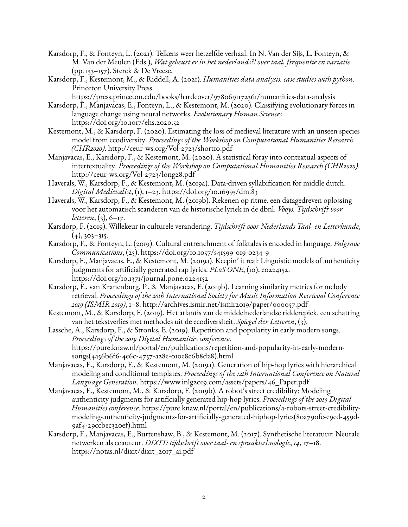- Karsdorp, F., & Fonteyn, L. (2021). Telkens weer hetzelfde verhaal. In N. Van der Sijs, L. Fonteyn, & M. Van der Meulen (Eds.), *Wat gebeurt er in het nederlands?! over taal, frequentie en variatie* (pp. 153–157). Sterck & De Vreese.
- Karsdorp, F., Kestemont, M., & Riddell, A. (2021). *Humanities data analysis. case studies with python*. Princeton University Press.

<https://press.princeton.edu/books/hardcover/9780691172361/humanities-data-analysis>

- Karsdorp, F., Manjavacas, E., Fonteyn, L., & Kestemont, M. (2020). Classifying evolutionary forces in language change using neural networks. *Evolutionary Human Sciences*. <https://doi.org/10.1017/ehs.2020.52>
- Kestemont, M., & Karsdorp, F. (2020). Estimating the loss of medieval literature with an unseen species model from ecodiversity. *Proceedings of the Workshop on Computational Humanities Research (CHR2020)*. <http://ceur-ws.org/Vol-2723/short10.pdf>
- Manjavacas, E., Karsdorp, F., & Kestemont, M. (2020). A statistical foray into contextual aspects of intertextuality. *Proceedings of the Workshop on Computational Humanities Research (CHR2020)*. <http://ceur-ws.org/Vol-2723/long28.pdf>
- Haverals, W., Karsdorp, F., & Kestemont, M. (2019a). Data-driven syllabification for middle dutch. *Digital Medievalist*, (1), 1–23. <https://doi.org/10.16995/dm.83>
- Haverals, W., Karsdorp, F., & Kestemont, M. (2019b). Rekenen op ritme. een datagedreven oplossing voor het automatisch scanderen van de historische lyriek in de dbnl. *Vooys. Tijdschrift voor letteren*, (3), 6–17.
- Karsdorp, F. (2019). Willekeur in culturele verandering. *Tijdschrift voor Nederlands Taal- en Letterkunde*,  $(4), 303 - 315.$
- Karsdorp, F., & Fonteyn, L. (2019). Cultural entrenchment of folktales is encoded in language. *Palgrave Communications*, (25). <https://doi.org/10.1057/s41599-019-0234-9>
- Karsdorp, F., Manjavacas, E., & Kestemont, M. (2019a). Keepin' it real: Linguistic models of authenticity judgments for artificially generated rap lyrics. *PLoS ONE*, (10), e0224152. <https://doi.org/10.1371/journal.pone.0224152>
- Karsdorp, F., van Kranenburg, P., & Manjavacas, E. (2019b). Learning similarity metrics for melody retrieval. *Proceedings of the 20th International Society for Music Information Retrieval Conference 2019 (ISMIR 2019)*, 1–8. <http://archives.ismir.net/ismir2019/paper/000057.pdf>
- Kestemont, M., & Karsdorp, F. (2019). Het atlantis van de middelnederlandse ridderepiek. een schatting van het tekstverlies met methodes uit de ecodiversiteit. *Spiegel der Letteren*, (3).
- Lassche, A., Karsdorp, F., & Stronks, E. (2019). Repetition and popularity in early modern songs. *Proceedings of the 2019 Digital Humanities conference*. [https://pure.knaw.nl/portal/en/publications/repetition-and-popularity-in-early-modern](https://pure.knaw.nl/portal/en/publications/repetition-and-popularity-in-early-modern-songs(4a56b6f6-4e6c-4757-a28e-010e8c6b8d28).html)[songs\(4a56b6f6-4e6c-4757-a28e-010e8c6b8d28\).html](https://pure.knaw.nl/portal/en/publications/repetition-and-popularity-in-early-modern-songs(4a56b6f6-4e6c-4757-a28e-010e8c6b8d28).html)
- Manjavacas, E., Karsdorp, F., & Kestemont, M. (2019a). Generation of hip-hop lyrics with hierarchical modeling and conditional templates. *Proceedings of the 12th International Conference on Natural Language Generation*. [https://www.inlg2019.com/assets/papers/46\\_Paper.pdf](https://www.inlg2019.com/assets/papers/46_Paper.pdf)
- Manjavacas, E., Kestemont, M., & Karsdorp, F. (2019b). A robot's street credibility: Modeling authenticity judgments for artificially generated hip-hop lyrics. *Proceedings of the 2019 Digital Humanities conference*. [https://pure.knaw.nl/portal/en/publications/a-robots-street-credibility](https://pure.knaw.nl/portal/en/publications/a-robots-street-credibility-modeling-authenticity-judgments-for-artificially-generated-hiphop-lyrics(80a790fe-e9cd-459d-9af4-29ccbec320ef).html)[modeling-authenticity-judgments-for-artificially-generated-hiphop-lyrics\(80a790fe-e9cd-459d-](https://pure.knaw.nl/portal/en/publications/a-robots-street-credibility-modeling-authenticity-judgments-for-artificially-generated-hiphop-lyrics(80a790fe-e9cd-459d-9af4-29ccbec320ef).html)[9af4-29ccbec320ef\).html](https://pure.knaw.nl/portal/en/publications/a-robots-street-credibility-modeling-authenticity-judgments-for-artificially-generated-hiphop-lyrics(80a790fe-e9cd-459d-9af4-29ccbec320ef).html)
- Karsdorp, F., Manjavacas, E., Burtenshaw, B., & Kestemont, M. (2017). Synthetische literatuur: Neurale netwerken als coauteur. *DIXIT: tijdschrift over taal- en spraaktechnologie*, *14*, 17–18. [https://notas.nl/dixit/dixit\\_2017\\_ai.pdf](https://notas.nl/dixit/dixit_2017_ai.pdf)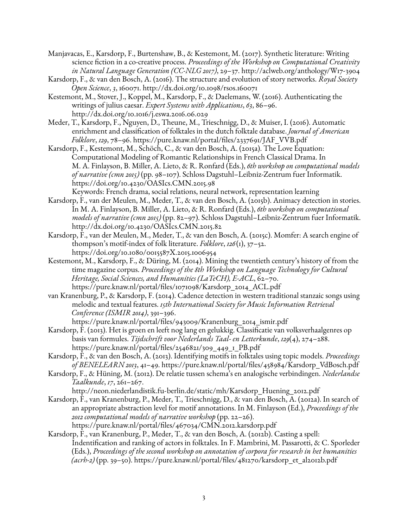Manjavacas, E., Karsdorp, F., Burtenshaw, B., & Kestemont, M. (2017). Synthetic literature: Writing science fiction in a co-creative process. *Proceedings of the Workshop on Computational Creativity in Natural Language Generation (CC-NLG 2017)*, 29–37. <http://aclweb.org/anthology/W17-3904>

- Karsdorp, F., & van den Bosch, A. (2016). The structure and evolution of story networks. *Royal Society Open Science*, *3*, 160071. <http://dx.doi.org/10.1098/rsos.160071>
- Kestemont, M., Stover, J., Koppel, M., Karsdorp, F., & Daelemans, W. (2016). Authenticating the writings of julius caesar. *Expert Systems with Applications*, *63*, 86–96. <http://dx.doi.org/10.1016/j.eswa.2016.06.029>
- Meder, T., Karsdorp, F., Nguyen, D., Theune, M., Trieschnigg, D., & Muiser, I. (2016). Automatic enrichment and classification of folktales in the dutch folktale database. *Journal of American Folklore*, *129*, 78–96. [https://pure.knaw.nl/portal/files/2337691/JAF\\_VVB.pdf](https://pure.knaw.nl/portal/files/2337691/JAF_VVB.pdf)
- Karsdorp, F., Kestemont, M., Schöch, C., & van den Bosch, A. (2015a). The Love Equation: Computational Modeling of Romantic Relationships in French Classical Drama. In M. A. Finlayson, B. Miller, A. Lieto, & R. Ronfard (Eds.), *6th workshop on computational models of narrative (cmn 2015)* (pp. 98–107). Schloss Dagstuhl–Leibniz-Zentrum fuer Informatik. <https://doi.org/10.4230/OASIcs.CMN.2015.98> Keywords: French drama, social relations, neural network, representation learning
- Karsdorp, F., van der Meulen, M., Meder, T., & van den Bosch, A. (2015b). Animacy detection in stories. In M. A. Finlayson, B. Miller, A. Lieto, & R. Ronfard (Eds.), *6th workshop on computational models of narrative (cmn 2015)* (pp. 82–97). Schloss Dagstuhl–Leibniz-Zentrum fuer Informatik. <http://dx.doi.org/10.4230/OASIcs.CMN.2015.82>
- Karsdorp, F., van der Meulen, M., Meder, T., & van den Bosch, A. (2015c). Momfer: A search engine of thompson's motif-index of folk literature. *Folklore*, *126*(1), 37–52. <https://doi.org/10.1080/0015587X.2015.1006954>
- Kestemont, M., Karsdorp, F., & Düring, M. (2014). Mining the twentieth century's history of from the time magazine corpus. *Proceedings of the 8th Workshop on Language Technology for Cultural Heritage, Social Sciences, and Humanities (LaTeCH), E-ACL*, 62–70. [https://pure.knaw.nl/portal/files/1071098/Karsdorp\\_2014\\_ACL.pdf](https://pure.knaw.nl/portal/files/1071098/Karsdorp_2014_ACL.pdf)
- van Kranenburg, P., & Karsdorp, F. (2014). Cadence detection in western traditional stanzaic songs using melodic and textual features. *15th International Society for Music Information Retrieval Conference (ISMIR 2014)*, 391–396.

[https://pure.knaw.nl/portal/files/943009/Kranenburg\\_2014\\_ismir.pdf](https://pure.knaw.nl/portal/files/943009/Kranenburg_2014_ismir.pdf)

- Karsdorp, F. (2013). Het is groen en leeft nog lang en gelukkig. Classificatie van volksverhaalgenres op basis van formules. *Tijdschrift voor Nederlands Taal- en Letterkunde*, *129*(4), 274–288. [https://pure.knaw.nl/portal/files/2546821/309\\_449\\_1\\_PB.pdf](https://pure.knaw.nl/portal/files/2546821/309_449_1_PB.pdf)
- Karsdorp, F., & van den Bosch, A. (2013). Identifying motifs in folktales using topic models. *Proceedings of BENELEARN 2013*, 41–49. [https://pure.knaw.nl/portal/files/458984/Karsdorp\\_VdBosch.pdf](https://pure.knaw.nl/portal/files/458984/Karsdorp_VdBosch.pdf)
- Karsdorp, F., & Hüning, M. (2012). De relatie tussen schema's en analogische verbindingen. *Nederlandse Taalkunde*, *17*, 261–267.

[http://neon.niederlandistik.fu-berlin.de/static/mh/Karsdorp\\_Huening\\_2012.pdf](http://neon.niederlandistik.fu-berlin.de/static/mh/Karsdorp_Huening_2012.pdf)

- Karsdorp, F., van Kranenburg, P., Meder, T., Trieschnigg, D., & van den Bosch, A. (2012a). In search of an appropriate abstraction level for motif annotations. In M. Finlayson (Ed.), *Proceedings of the 2012 computational models of narrative workshop* (pp. 22–26). <https://pure.knaw.nl/portal/files/467034/CMN.2012.karsdorp.pdf>
- Karsdorp, F., van Kranenburg, P., Meder, T., & van den Bosch, A. (2012b). Casting a spell: Indentification and ranking of actors in folktales. In F. Mambrini, M. Passarotti, & C. Sporleder (Eds.), *Proceedings of the second workshop on annotation of corpora for research in het humanities (acrh-2)* (pp. 39–50). [https://pure.knaw.nl/portal/files/481270/karsdorp\\_et\\_al2012b.pdf](https://pure.knaw.nl/portal/files/481270/karsdorp_et_al2012b.pdf)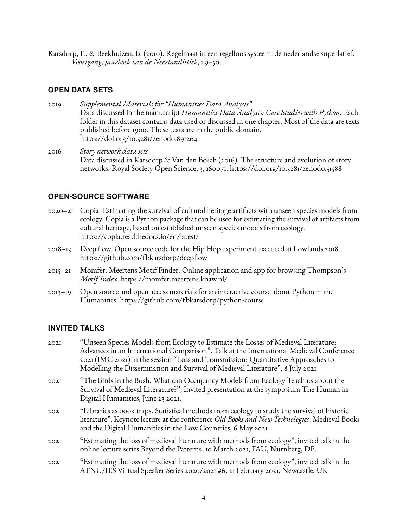Karsdorp, F., & Beekhuizen, B. (2010). Regelmaat in een regelloos systeem. de nederlandse superlatief. *Voortgang, jaarboek van de Neerlandistiek*, 29–50.

#### **OPEN DATA SETS**

2019 *Supplemental Materials for "Humanities Data Analysis"* Data discussed in the manuscript *Humanities Data Analysis: Case Studies with Python*. Each folder in this dataset contains data used or discussed in one chapter. Most of the data are texts published before 1900. These texts are in the public domain. <https://doi.org/10.5281/zenodo.891264>

2016 *Story network data sets* Data discussed in Karsdorp & Van den Bosch (2016): The structure and evolution of story networks. Royal Society Open Science, 3, 160071. <https://doi.org/10.5281/zenodo.51588>

#### **OPEN-SOURCE SOFTWARE**

- 2020–21 Copia. Estimating the survival of cultural heritage artifacts with unseen species models from ecology. Copia is a Python package that can be used for estimating the survival of artifacts from cultural heritage, based on established unseen species models from ecology. <https://copia.readthedocs.io/en/latest/>
- 2018–19 Deep flow. Open source code for the Hip Hop experiment executed at Lowlands 2018. <https://github.com/fbkarsdorp/deepflow>
- 2015–21 Momfer. Meertens Motif Finder. Online application and app for browsing Thompson's *Motif Index*. <https://momfer.meertens.knaw.nl/>
- 2013–19 Open source and open access materials for an interactive course about Python in the Humanities. <https://github.com/fbkarsdorp/python-course>

#### **INVITED TALKS**

| 202I | "Unseen Species Models from Ecology to Estimate the Losses of Medieval Literature:<br>Advances in an International Comparison". Talk at the International Medieval Conference<br>2021 (IMC 2021) in the session "Loss and Transmission: Quantitative Approaches to<br>Modelling the Dissemination and Survival of Medieval Literature", 8 July 2021 |
|------|-----------------------------------------------------------------------------------------------------------------------------------------------------------------------------------------------------------------------------------------------------------------------------------------------------------------------------------------------------|
| 202I | "The Birds in the Bush. What can Occupancy Models from Ecology Teach us about the<br>Survival of Medieval Literature?", Invited presentation at the symposium The Human in<br>Digital Humanities, June 23 2021.                                                                                                                                     |
| 202I | "Libraries as book traps. Statistical methods from ecology to study the survival of historic<br>literature", Keynote lecture at the conference Old Books and New Technologies: Medieval Books<br>and the Digital Humanities in the Low Countries, 6 May 2021                                                                                        |
| 202I | "Estimating the loss of medieval literature with methods from ecology", invited talk in the<br>online lecture series Beyond the Patterns. 10 March 2021, FAU, Nürnberg, DE.                                                                                                                                                                         |
| 202I | "Estimating the loss of medieval literature with methods from ecology", invited talk in the<br>ATNU/IES Virtual Speaker Series 2020/2021 #6. 21 February 2021, Newcastle, UK                                                                                                                                                                        |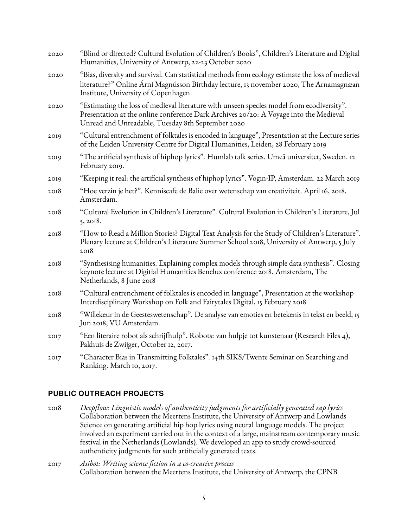| 2020 | "Blind or directed? Cultural Evolution of Children's Books", Children's Literature and Digital<br>Humanities, University of Antwerp, 22-23 October 2020                                                                                 |
|------|-----------------------------------------------------------------------------------------------------------------------------------------------------------------------------------------------------------------------------------------|
| 2020 | "Bias, diversity and survival. Can statistical methods from ecology estimate the loss of medieval<br>literature?" Online Árni Magnússon Birthday lecture, 13 november 2020, The Arnamagnæan<br>Institute, University of Copenhagen      |
| 2020 | "Estimating the loss of medieval literature with unseen species model from ecodiversity".<br>Presentation at the online conference Dark Archives 20/20: A Voyage into the Medieval<br>Unread and Unreadable, Tuesday 8th September 2020 |
| 2019 | "Cultural entrenchment of folktales is encoded in language", Presentation at the Lecture series<br>of the Leiden University Centre for Digital Humanities, Leiden, 28 February 2019                                                     |
| 2019 | "The artificial synthesis of hiphop lyrics". Humlab talk series. Umeå universitet, Sweden. 12<br>February 2019.                                                                                                                         |
| 2019 | "Keeping it real: the artificial synthesis of hiphop lyrics". Vogin-IP, Amsterdam. 22 March 2019                                                                                                                                        |
| 2018 | "Hoe verzin je het?". Kenniscafe de Balie over wetenschap van creativiteit. April 16, 2018,<br>Amsterdam.                                                                                                                               |
| 2018 | "Cultural Evolution in Children's Literature". Cultural Evolution in Children's Literature, Jul<br>5, 2018.                                                                                                                             |
| 2018 | "How to Read a Million Stories? Digital Text Analysis for the Study of Children's Literature".<br>Plenary lecture at Children's Literature Summer School 2018, University of Antwerp, 5 July<br>2018                                    |
| 2018 | "Synthesising humanities. Explaining complex models through simple data synthesis". Closing<br>keynote lecture at Digitial Humanities Benelux conference 2018. Amsterdam, The<br>Netherlands, 8 June 2018                               |
| 2018 | "Cultural entrenchment of folktales is encoded in language", Presentation at the workshop<br>Interdisciplinary Workshop on Folk and Fairytales Digital, 15 February 2018                                                                |
| 2018 | "Willekeur in de Geesteswetenschap". De analyse van emoties en betekenis in tekst en beeld, 15<br>Jun 2018, VU Amsterdam.                                                                                                               |
| 2017 | "Een literaire robot als schrijfhulp". Robots: van hulpje tot kunstenaar (Research Files 4),<br>Pakhuis de Zwijger, October 12, 2017.                                                                                                   |
| 2017 | "Character Bias in Transmitting Folktales". 14th SIKS/Twente Seminar on Searching and<br>Ranking. March 10, 2017.                                                                                                                       |

## **PUBLIC OUTREACH PROJECTS**

- 2018 *Deepflow: Linguistic models of authenticity judgments for artificially generated rap lyrics* Collaboration between the Meertens Institute, the University of Antwerp and Lowlands Science on generating artificial hip hop lyrics using neural language models. The project involved an experiment carried out in the context of a large, mainstream contemporary music festival in the Netherlands (Lowlands). We developed an app to study crowd-sourced authenticity judgments for such artificially generated texts.
- 2017 *Asibot: Writing science fiction in a co-creative process* Collaboration between the Meertens Institute, the University of Antwerp, the CPNB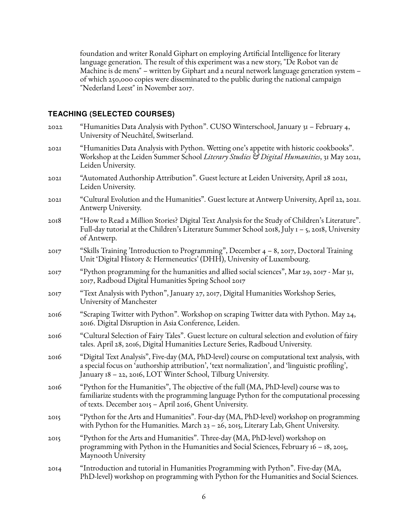foundation and writer Ronald Giphart on employing Artificial Intelligence for literary language generation. The result of this experiment was a new story, "De Robot van de Machine is de mens" – written by Giphart and a neural network language generation system – of which 250,000 copies were disseminated to the public during the national campaign "Nederland Leest" in November 2017.

## **TEACHING (SELECTED COURSES)**

| 2022 | "Humanities Data Analysis with Python". CUSO Winterschool, January 31 – February 4,<br>University of Neuchâtel, Switserland.                                                                                                                                     |
|------|------------------------------------------------------------------------------------------------------------------------------------------------------------------------------------------------------------------------------------------------------------------|
| 202I | "Humanities Data Analysis with Python. Wetting one's appetite with historic cookbooks".<br>Workshop at the Leiden Summer School Literary Studies & Digital Humanities, 31 May 2021,<br>Leiden University.                                                        |
| 202I | "Automated Authorship Attribution". Guest lecture at Leiden University, April 28 2021,<br>Leiden University.                                                                                                                                                     |
| 202I | "Cultural Evolution and the Humanities". Guest lecture at Antwerp University, April 22, 2021.<br>Antwerp University.                                                                                                                                             |
| 2018 | "How to Read a Million Stories? Digital Text Analysis for the Study of Children's Literature".<br>Full-day tutorial at the Children's Literature Summer School 2018, July $I - 5$ , 2018, University<br>of Antwerp.                                              |
| 2017 | "Skills Training 'Introduction to Programming", December $4 - 8$ , 2017, Doctoral Training<br>Unit 'Digital History & Hermeneutics' (DHH), University of Luxembourg.                                                                                             |
| 2017 | "Python programming for the humanities and allied social sciences", Mar 29, 2017 - Mar 31,<br>2017, Radboud Digital Humanities Spring School 2017                                                                                                                |
| 2017 | "Text Analysis with Python", January 27, 2017, Digital Humanities Workshop Series,<br>University of Manchester                                                                                                                                                   |
| 2016 | "Scraping Twitter with Python". Workshop on scraping Twitter data with Python. May 24,<br>2016. Digital Disruption in Asia Conference, Leiden.                                                                                                                   |
| 2016 | "Cultural Selection of Fairy Tales". Guest lecture on cultural selection and evolution of fairy<br>tales. April 28, 2016, Digital Humanities Lecture Series, Radboud University.                                                                                 |
| 2016 | "Digital Text Analysis", Five-day (MA, PhD-level) course on computational text analysis, with<br>a special focus on 'authorship attribution', 'text normalization', and 'linguistic profiling',<br>January 18 - 22, 2016, LOT Winter School, Tilburg University. |
| 2016 | "Python for the Humanities", The objective of the full (MA, PhD-level) course was to<br>familiarize students with the programming language Python for the computational processing<br>of texts. December 2015 - April 2016, Ghent University.                    |
| 2015 | "Python for the Arts and Humanities". Four-day (MA, PhD-level) workshop on programming<br>with Python for the Humanities. March $23 - 26$ , 2015, Literary Lab, Ghent University.                                                                                |
| 2015 | "Python for the Arts and Humanities". Three-day (MA, PhD-level) workshop on<br>programming with Python in the Humanities and Social Sciences, February $16 - 18$ , 2015,<br>Maynooth University                                                                  |
| 20I4 | "Introduction and tutorial in Humanities Programming with Python". Five-day (MA,<br>PhD-level) workshop on programming with Python for the Humanities and Social Sciences.                                                                                       |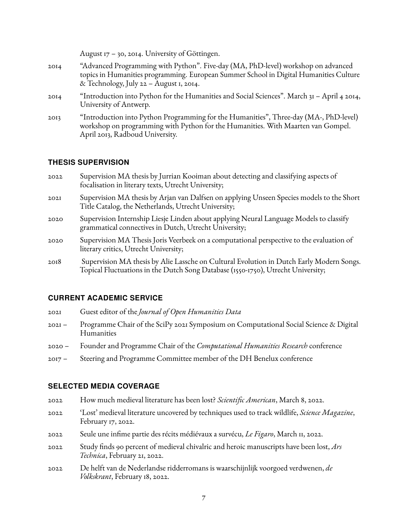August 17 – 30, 2014. University of Göttingen. 2014 "Advanced Programming with Python". Five-day (MA, PhD-level) workshop on advanced topics in Humanities programming. European Summer School in Digital Humanities Culture & Technology, July 22 – August 1, 2014. 2014 "Introduction into Python for the Humanities and Social Sciences". March 31 – April 4 2014, University of Antwerp. 2013 "Introduction into Python Programming for the Humanities", Three-day (MA-, PhD-level) workshop on programming with Python for the Humanities. With Maarten van Gompel. April 2013, Radboud University.

#### **THESIS SUPERVISION**

- 2022 Supervision MA thesis by Jurrian Kooiman about detecting and classifying aspects of focalisation in literary texts, Utrecht University;
- 2021 Supervision MA thesis by Arjan van Dalfsen on applying Unseen Species models to the Short Title Catalog, the Netherlands, Utrecht University;
- 2020 Supervision Internship Liesje Linden about applying Neural Language Models to classify grammatical connectives in Dutch, Utrecht University;
- 2020 Supervision MA Thesis Joris Veerbeek on a computational perspective to the evaluation of literary critics, Utrecht University;
- 2018 Supervision MA thesis by Alie Lassche on Cultural Evolution in Dutch Early Modern Songs. Topical Fluctuations in the Dutch Song Database (1550-1750), Utrecht University;

## **CURRENT ACADEMIC SERVICE**

- 2021 Guest editor of the *Journal of Open Humanities Data*
- 2021 Programme Chair of the SciPy 2021 Symposium on Computational Social Science & Digital Humanities
- 2020 Founder and Programme Chair of the *Computational Humanities Research* conference
- 2017 Steering and Programme Committee member of the DH Benelux conference

## **SELECTED MEDIA COVERAGE**

- 2022 How much medieval literature has been lost? *Scientific American*, March 8, 2022.
- 2022 'Lost' medieval literature uncovered by techniques used to track wildlife, *Science Magazine*, February 17, 2022.
- 2022 Seule une infime partie des récits médiévaux a survécu, *Le Figaro*, March 11, 2022.
- 2022 Study finds 90 percent of medieval chivalric and heroic manuscripts have been lost, *Ars Technica*, February 21, 2022.
- 2022 De helft van de Nederlandse ridderromans is waarschijnlijk voorgoed verdwenen, *de Volkskrant*, February 18, 2022.